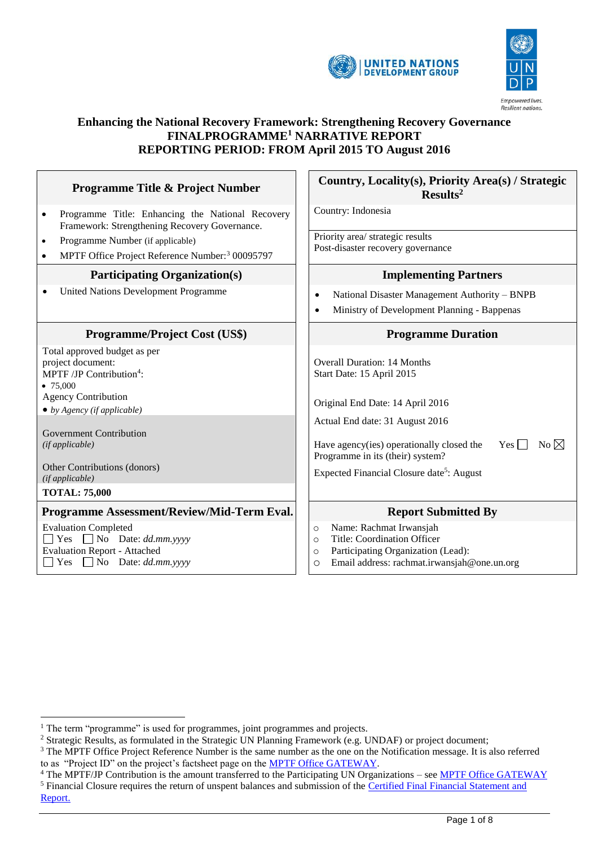



## **Enhancing the National Recovery Framework: Strengthening Recovery Governance FINALPROGRAMME<sup>1</sup> NARRATIVE REPORT REPORTING PERIOD: FROM April 2015 TO August 2016**

| <b>Programme Title &amp; Project Number</b>                                                                                                                                                                                                                                                              | Country, Locality(s), Priority Area(s) / Strategic<br>Results <sup>2</sup>                                                                                                                                                                                                                                       |  |
|----------------------------------------------------------------------------------------------------------------------------------------------------------------------------------------------------------------------------------------------------------------------------------------------------------|------------------------------------------------------------------------------------------------------------------------------------------------------------------------------------------------------------------------------------------------------------------------------------------------------------------|--|
| Programme Title: Enhancing the National Recovery<br>$\bullet$<br>Framework: Strengthening Recovery Governance.                                                                                                                                                                                           | Country: Indonesia                                                                                                                                                                                                                                                                                               |  |
| Programme Number (if applicable)<br>٠                                                                                                                                                                                                                                                                    | Priority area/ strategic results                                                                                                                                                                                                                                                                                 |  |
| MPTF Office Project Reference Number: <sup>3</sup> 00095797                                                                                                                                                                                                                                              | Post-disaster recovery governance                                                                                                                                                                                                                                                                                |  |
| <b>Participating Organization(s)</b>                                                                                                                                                                                                                                                                     | <b>Implementing Partners</b>                                                                                                                                                                                                                                                                                     |  |
| United Nations Development Programme                                                                                                                                                                                                                                                                     | National Disaster Management Authority - BNPB<br>$\bullet$                                                                                                                                                                                                                                                       |  |
|                                                                                                                                                                                                                                                                                                          | Ministry of Development Planning - Bappenas                                                                                                                                                                                                                                                                      |  |
| <b>Programme/Project Cost (US\$)</b>                                                                                                                                                                                                                                                                     | <b>Programme Duration</b>                                                                                                                                                                                                                                                                                        |  |
| Total approved budget as per<br>project document:<br>MPTF/JP Contribution <sup>4</sup> :<br>•75,000<br><b>Agency Contribution</b><br>$\bullet$ by Agency (if applicable)<br><b>Government Contribution</b><br>(if applicable)<br>Other Contributions (donors)<br>(if applicable)<br><b>TOTAL: 75,000</b> | <b>Overall Duration: 14 Months</b><br>Start Date: 15 April 2015<br>Original End Date: 14 April 2016<br>Actual End date: 31 August 2016<br>$Yes \Box$<br>No $\boxtimes$<br>Have agency(ies) operationally closed the<br>Programme in its (their) system?<br>Expected Financial Closure date <sup>5</sup> : August |  |
| Programme Assessment/Review/Mid-Term Eval.                                                                                                                                                                                                                                                               | <b>Report Submitted By</b>                                                                                                                                                                                                                                                                                       |  |
| <b>Evaluation Completed</b><br>$\Box$ Yes $\Box$ No Date: dd.mm. yyyy<br><b>Evaluation Report - Attached</b><br>$\Box$ No Date: dd.mm.yyyy<br>Yes                                                                                                                                                        | Name: Rachmat Irwansjah<br>$\circ$<br>Title: Coordination Officer<br>$\circ$<br>Participating Organization (Lead):<br>$\circ$<br>Email address: rachmat.irwansjah@one.un.org<br>O                                                                                                                                |  |

 $\overline{a}$ 

<sup>&</sup>lt;sup>1</sup> The term "programme" is used for programmes, joint programmes and projects.

<sup>&</sup>lt;sup>2</sup> Strategic Results, as formulated in the Strategic UN Planning Framework (e.g. UNDAF) or project document;

<sup>&</sup>lt;sup>3</sup> The MPTF Office Project Reference Number is the same number as the one on the Notification message. It is also referred to as "Project ID" on the project's factsheet page on the [MPTF Office GATEWAY.](http://mdtf.undp.org/)

<sup>&</sup>lt;sup>4</sup> The MPTF/JP Contribution is the amount transferred to the Participating UN Organizations – se[e MPTF Office GATEWAY](http://mdtf.undp.org/) <sup>5</sup> Financial Closure requires the return of unspent balances and submission of the Certified Final Financial Statement and [Report.](http://mdtf.undp.org/document/download/5388)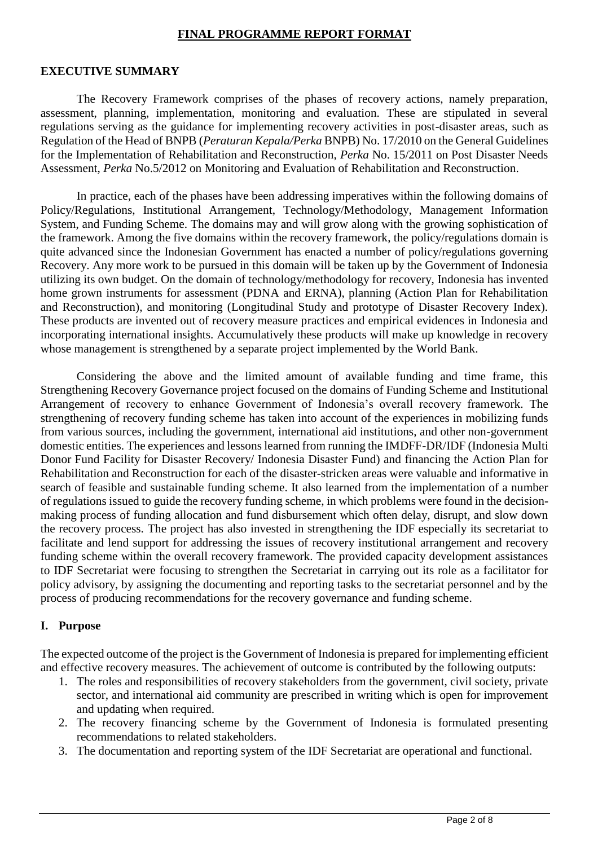## **FINAL PROGRAMME REPORT FORMAT**

#### **EXECUTIVE SUMMARY**

The Recovery Framework comprises of the phases of recovery actions, namely preparation, assessment, planning, implementation, monitoring and evaluation. These are stipulated in several regulations serving as the guidance for implementing recovery activities in post-disaster areas, such as Regulation of the Head of BNPB (*Peraturan Kepala/Perka* BNPB) No. 17/2010 on the General Guidelines for the Implementation of Rehabilitation and Reconstruction, *Perka* No. 15/2011 on Post Disaster Needs Assessment, *Perka* No.5/2012 on Monitoring and Evaluation of Rehabilitation and Reconstruction.

In practice, each of the phases have been addressing imperatives within the following domains of Policy/Regulations, Institutional Arrangement, Technology/Methodology, Management Information System, and Funding Scheme. The domains may and will grow along with the growing sophistication of the framework. Among the five domains within the recovery framework, the policy/regulations domain is quite advanced since the Indonesian Government has enacted a number of policy/regulations governing Recovery. Any more work to be pursued in this domain will be taken up by the Government of Indonesia utilizing its own budget. On the domain of technology/methodology for recovery, Indonesia has invented home grown instruments for assessment (PDNA and ERNA), planning (Action Plan for Rehabilitation and Reconstruction), and monitoring (Longitudinal Study and prototype of Disaster Recovery Index). These products are invented out of recovery measure practices and empirical evidences in Indonesia and incorporating international insights. Accumulatively these products will make up knowledge in recovery whose management is strengthened by a separate project implemented by the World Bank.

Considering the above and the limited amount of available funding and time frame, this Strengthening Recovery Governance project focused on the domains of Funding Scheme and Institutional Arrangement of recovery to enhance Government of Indonesia's overall recovery framework. The strengthening of recovery funding scheme has taken into account of the experiences in mobilizing funds from various sources, including the government, international aid institutions, and other non-government domestic entities. The experiences and lessons learned from running the IMDFF-DR/IDF (Indonesia Multi Donor Fund Facility for Disaster Recovery/ Indonesia Disaster Fund) and financing the Action Plan for Rehabilitation and Reconstruction for each of the disaster-stricken areas were valuable and informative in search of feasible and sustainable funding scheme. It also learned from the implementation of a number of regulations issued to guide the recovery funding scheme, in which problems were found in the decisionmaking process of funding allocation and fund disbursement which often delay, disrupt, and slow down the recovery process. The project has also invested in strengthening the IDF especially its secretariat to facilitate and lend support for addressing the issues of recovery institutional arrangement and recovery funding scheme within the overall recovery framework. The provided capacity development assistances to IDF Secretariat were focusing to strengthen the Secretariat in carrying out its role as a facilitator for policy advisory, by assigning the documenting and reporting tasks to the secretariat personnel and by the process of producing recommendations for the recovery governance and funding scheme.

#### **I. Purpose**

The expected outcome of the project is the Government of Indonesia is prepared for implementing efficient and effective recovery measures. The achievement of outcome is contributed by the following outputs:

- 1. The roles and responsibilities of recovery stakeholders from the government, civil society, private sector, and international aid community are prescribed in writing which is open for improvement and updating when required.
- 2. The recovery financing scheme by the Government of Indonesia is formulated presenting recommendations to related stakeholders.
- 3. The documentation and reporting system of the IDF Secretariat are operational and functional.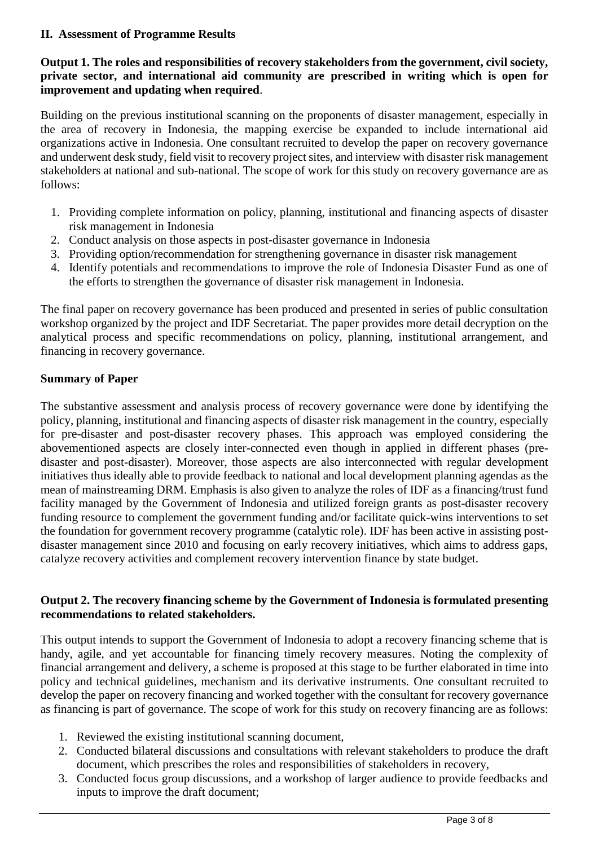## **II. Assessment of Programme Results**

## **Output 1. The roles and responsibilities of recovery stakeholders from the government, civil society, private sector, and international aid community are prescribed in writing which is open for improvement and updating when required**.

Building on the previous institutional scanning on the proponents of disaster management, especially in the area of recovery in Indonesia, the mapping exercise be expanded to include international aid organizations active in Indonesia. One consultant recruited to develop the paper on recovery governance and underwent desk study, field visit to recovery project sites, and interview with disaster risk management stakeholders at national and sub-national. The scope of work for this study on recovery governance are as follows:

- 1. Providing complete information on policy, planning, institutional and financing aspects of disaster risk management in Indonesia
- 2. Conduct analysis on those aspects in post-disaster governance in Indonesia
- 3. Providing option/recommendation for strengthening governance in disaster risk management
- 4. Identify potentials and recommendations to improve the role of Indonesia Disaster Fund as one of the efforts to strengthen the governance of disaster risk management in Indonesia.

The final paper on recovery governance has been produced and presented in series of public consultation workshop organized by the project and IDF Secretariat. The paper provides more detail decryption on the analytical process and specific recommendations on policy, planning, institutional arrangement, and financing in recovery governance.

# **Summary of Paper**

The substantive assessment and analysis process of recovery governance were done by identifying the policy, planning, institutional and financing aspects of disaster risk management in the country, especially for pre-disaster and post-disaster recovery phases. This approach was employed considering the abovementioned aspects are closely inter-connected even though in applied in different phases (predisaster and post-disaster). Moreover, those aspects are also interconnected with regular development initiatives thus ideally able to provide feedback to national and local development planning agendas as the mean of mainstreaming DRM. Emphasis is also given to analyze the roles of IDF as a financing/trust fund facility managed by the Government of Indonesia and utilized foreign grants as post-disaster recovery funding resource to complement the government funding and/or facilitate quick-wins interventions to set the foundation for government recovery programme (catalytic role). IDF has been active in assisting postdisaster management since 2010 and focusing on early recovery initiatives, which aims to address gaps, catalyze recovery activities and complement recovery intervention finance by state budget.

## **Output 2. The recovery financing scheme by the Government of Indonesia is formulated presenting recommendations to related stakeholders.**

This output intends to support the Government of Indonesia to adopt a recovery financing scheme that is handy, agile, and yet accountable for financing timely recovery measures. Noting the complexity of financial arrangement and delivery, a scheme is proposed at this stage to be further elaborated in time into policy and technical guidelines, mechanism and its derivative instruments. One consultant recruited to develop the paper on recovery financing and worked together with the consultant for recovery governance as financing is part of governance. The scope of work for this study on recovery financing are as follows:

- 1. Reviewed the existing institutional scanning document,
- 2. Conducted bilateral discussions and consultations with relevant stakeholders to produce the draft document, which prescribes the roles and responsibilities of stakeholders in recovery,
- 3. Conducted focus group discussions, and a workshop of larger audience to provide feedbacks and inputs to improve the draft document;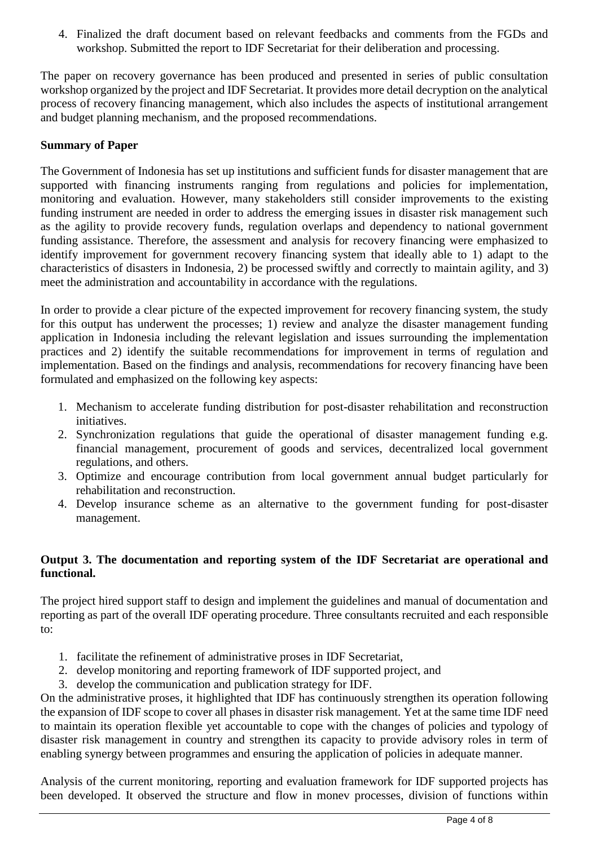4. Finalized the draft document based on relevant feedbacks and comments from the FGDs and workshop. Submitted the report to IDF Secretariat for their deliberation and processing.

The paper on recovery governance has been produced and presented in series of public consultation workshop organized by the project and IDF Secretariat. It provides more detail decryption on the analytical process of recovery financing management, which also includes the aspects of institutional arrangement and budget planning mechanism, and the proposed recommendations.

## **Summary of Paper**

The Government of Indonesia has set up institutions and sufficient funds for disaster management that are supported with financing instruments ranging from regulations and policies for implementation, monitoring and evaluation. However, many stakeholders still consider improvements to the existing funding instrument are needed in order to address the emerging issues in disaster risk management such as the agility to provide recovery funds, regulation overlaps and dependency to national government funding assistance. Therefore, the assessment and analysis for recovery financing were emphasized to identify improvement for government recovery financing system that ideally able to 1) adapt to the characteristics of disasters in Indonesia, 2) be processed swiftly and correctly to maintain agility, and 3) meet the administration and accountability in accordance with the regulations.

In order to provide a clear picture of the expected improvement for recovery financing system, the study for this output has underwent the processes; 1) review and analyze the disaster management funding application in Indonesia including the relevant legislation and issues surrounding the implementation practices and 2) identify the suitable recommendations for improvement in terms of regulation and implementation. Based on the findings and analysis, recommendations for recovery financing have been formulated and emphasized on the following key aspects:

- 1. Mechanism to accelerate funding distribution for post-disaster rehabilitation and reconstruction initiatives.
- 2. Synchronization regulations that guide the operational of disaster management funding e.g. financial management, procurement of goods and services, decentralized local government regulations, and others.
- 3. Optimize and encourage contribution from local government annual budget particularly for rehabilitation and reconstruction.
- 4. Develop insurance scheme as an alternative to the government funding for post-disaster management.

## **Output 3. The documentation and reporting system of the IDF Secretariat are operational and functional.**

The project hired support staff to design and implement the guidelines and manual of documentation and reporting as part of the overall IDF operating procedure. Three consultants recruited and each responsible to:

- 1. facilitate the refinement of administrative proses in IDF Secretariat,
- 2. develop monitoring and reporting framework of IDF supported project, and
- 3. develop the communication and publication strategy for IDF.

On the administrative proses, it highlighted that IDF has continuously strengthen its operation following the expansion of IDF scope to cover all phases in disaster risk management. Yet at the same time IDF need to maintain its operation flexible yet accountable to cope with the changes of policies and typology of disaster risk management in country and strengthen its capacity to provide advisory roles in term of enabling synergy between programmes and ensuring the application of policies in adequate manner.

Analysis of the current monitoring, reporting and evaluation framework for IDF supported projects has been developed. It observed the structure and flow in monev processes, division of functions within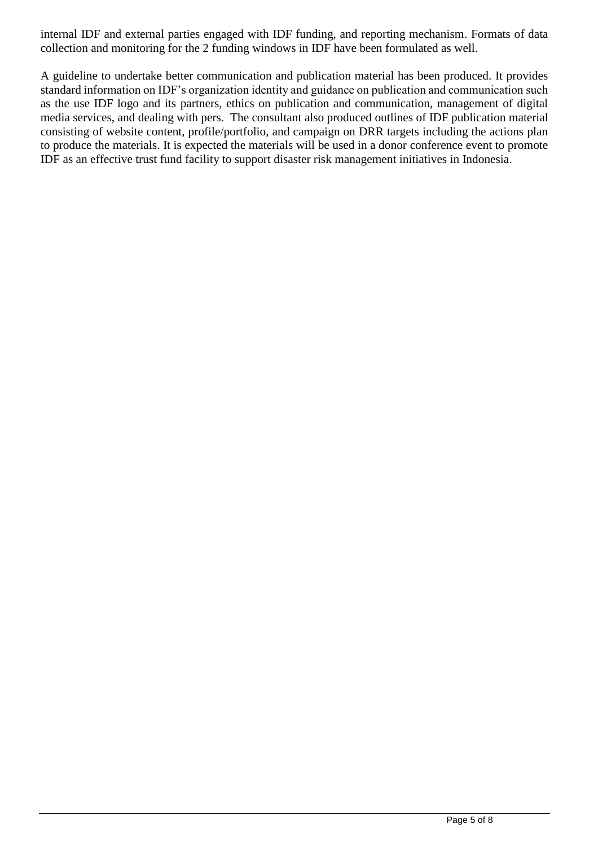internal IDF and external parties engaged with IDF funding, and reporting mechanism. Formats of data collection and monitoring for the 2 funding windows in IDF have been formulated as well.

A guideline to undertake better communication and publication material has been produced. It provides standard information on IDF's organization identity and guidance on publication and communication such as the use IDF logo and its partners, ethics on publication and communication, management of digital media services, and dealing with pers. The consultant also produced outlines of IDF publication material consisting of website content, profile/portfolio, and campaign on DRR targets including the actions plan to produce the materials. It is expected the materials will be used in a donor conference event to promote IDF as an effective trust fund facility to support disaster risk management initiatives in Indonesia.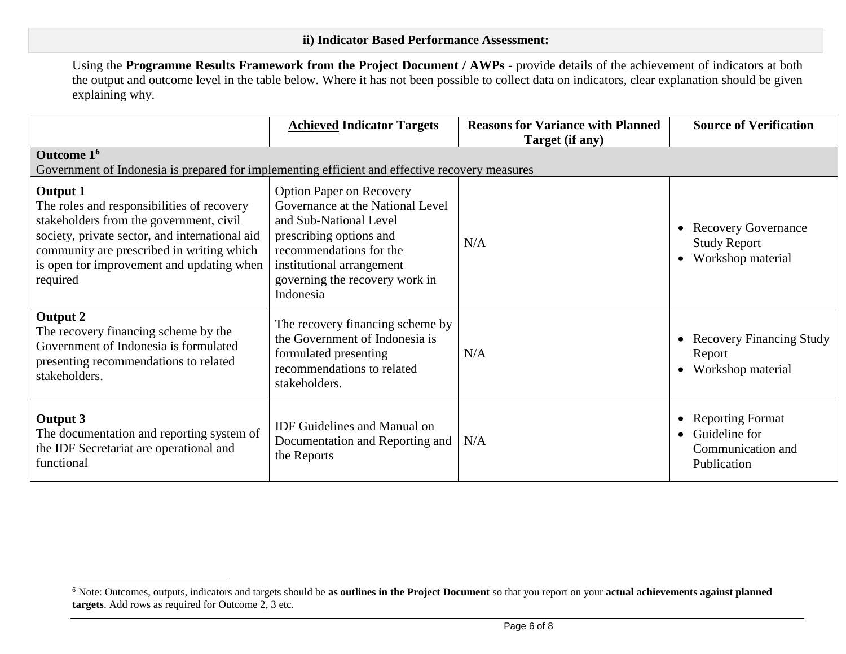Using the **Programme Results Framework from the Project Document / AWPs** - provide details of the achievement of indicators at both the output and outcome level in the table below. Where it has not been possible to collect data on indicators, clear explanation should be given explaining why.

|                                                                                                                                                                                                                                                                  | <b>Achieved Indicator Targets</b>                                                                                                                                                                                               | <b>Reasons for Variance with Planned</b><br>Target (if any) | <b>Source of Verification</b>                                                |  |
|------------------------------------------------------------------------------------------------------------------------------------------------------------------------------------------------------------------------------------------------------------------|---------------------------------------------------------------------------------------------------------------------------------------------------------------------------------------------------------------------------------|-------------------------------------------------------------|------------------------------------------------------------------------------|--|
| Outcome 1 <sup>6</sup>                                                                                                                                                                                                                                           |                                                                                                                                                                                                                                 |                                                             |                                                                              |  |
| Government of Indonesia is prepared for implementing efficient and effective recovery measures                                                                                                                                                                   |                                                                                                                                                                                                                                 |                                                             |                                                                              |  |
| <b>Output 1</b><br>The roles and responsibilities of recovery<br>stakeholders from the government, civil<br>society, private sector, and international aid<br>community are prescribed in writing which<br>is open for improvement and updating when<br>required | <b>Option Paper on Recovery</b><br>Governance at the National Level<br>and Sub-National Level<br>prescribing options and<br>recommendations for the<br>institutional arrangement<br>governing the recovery work in<br>Indonesia | N/A                                                         | <b>Recovery Governance</b><br><b>Study Report</b><br>Workshop material       |  |
| <b>Output 2</b><br>The recovery financing scheme by the<br>Government of Indonesia is formulated<br>presenting recommendations to related<br>stakeholders.                                                                                                       | The recovery financing scheme by<br>the Government of Indonesia is<br>formulated presenting<br>recommendations to related<br>stakeholders.                                                                                      | N/A                                                         | <b>Recovery Financing Study</b><br>Report<br>Workshop material               |  |
| Output 3<br>The documentation and reporting system of<br>the IDF Secretariat are operational and<br>functional                                                                                                                                                   | <b>IDF</b> Guidelines and Manual on<br>Documentation and Reporting and<br>the Reports                                                                                                                                           | N/A                                                         | <b>Reporting Format</b><br>Guideline for<br>Communication and<br>Publication |  |

 $\overline{a}$ 

<sup>6</sup> Note: Outcomes, outputs, indicators and targets should be **as outlines in the Project Document** so that you report on your **actual achievements against planned targets**. Add rows as required for Outcome 2, 3 etc.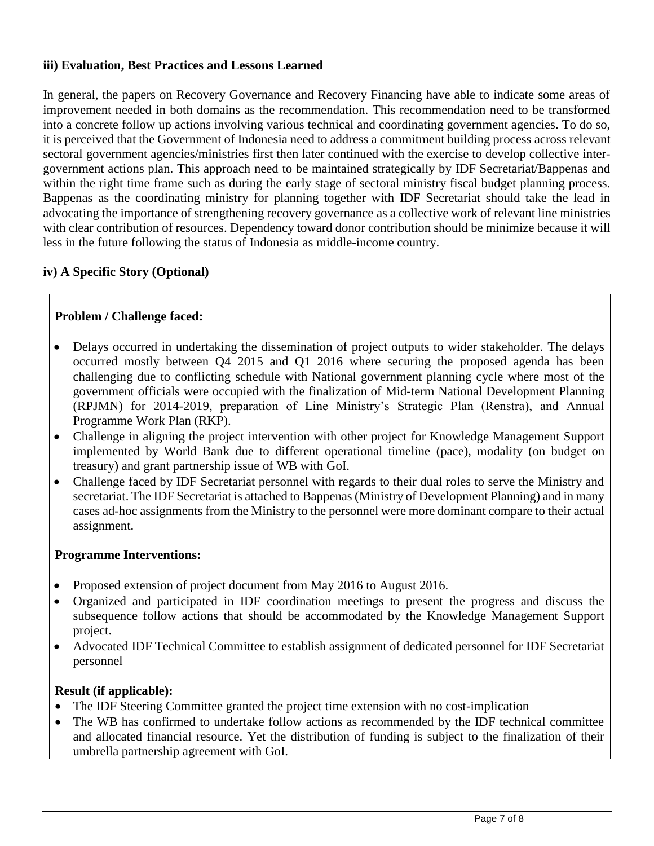## **iii) Evaluation, Best Practices and Lessons Learned**

In general, the papers on Recovery Governance and Recovery Financing have able to indicate some areas of improvement needed in both domains as the recommendation. This recommendation need to be transformed into a concrete follow up actions involving various technical and coordinating government agencies. To do so, it is perceived that the Government of Indonesia need to address a commitment building process across relevant sectoral government agencies/ministries first then later continued with the exercise to develop collective intergovernment actions plan. This approach need to be maintained strategically by IDF Secretariat/Bappenas and within the right time frame such as during the early stage of sectoral ministry fiscal budget planning process. Bappenas as the coordinating ministry for planning together with IDF Secretariat should take the lead in advocating the importance of strengthening recovery governance as a collective work of relevant line ministries with clear contribution of resources. Dependency toward donor contribution should be minimize because it will less in the future following the status of Indonesia as middle-income country.

## **iv) A Specific Story (Optional)**

## **Problem / Challenge faced:**

- Delays occurred in undertaking the dissemination of project outputs to wider stakeholder. The delays occurred mostly between Q4 2015 and Q1 2016 where securing the proposed agenda has been challenging due to conflicting schedule with National government planning cycle where most of the government officials were occupied with the finalization of Mid-term National Development Planning (RPJMN) for 2014-2019, preparation of Line Ministry's Strategic Plan (Renstra), and Annual Programme Work Plan (RKP).
- Challenge in aligning the project intervention with other project for Knowledge Management Support implemented by World Bank due to different operational timeline (pace), modality (on budget on treasury) and grant partnership issue of WB with GoI.
- Challenge faced by IDF Secretariat personnel with regards to their dual roles to serve the Ministry and secretariat. The IDF Secretariat is attached to Bappenas (Ministry of Development Planning) and in many cases ad-hoc assignments from the Ministry to the personnel were more dominant compare to their actual assignment.

## **Programme Interventions:**

- Proposed extension of project document from May 2016 to August 2016.
- Organized and participated in IDF coordination meetings to present the progress and discuss the subsequence follow actions that should be accommodated by the Knowledge Management Support project.
- Advocated IDF Technical Committee to establish assignment of dedicated personnel for IDF Secretariat personnel

## **Result (if applicable):**

- The IDF Steering Committee granted the project time extension with no cost-implication
- The WB has confirmed to undertake follow actions as recommended by the IDF technical committee and allocated financial resource. Yet the distribution of funding is subject to the finalization of their umbrella partnership agreement with GoI.